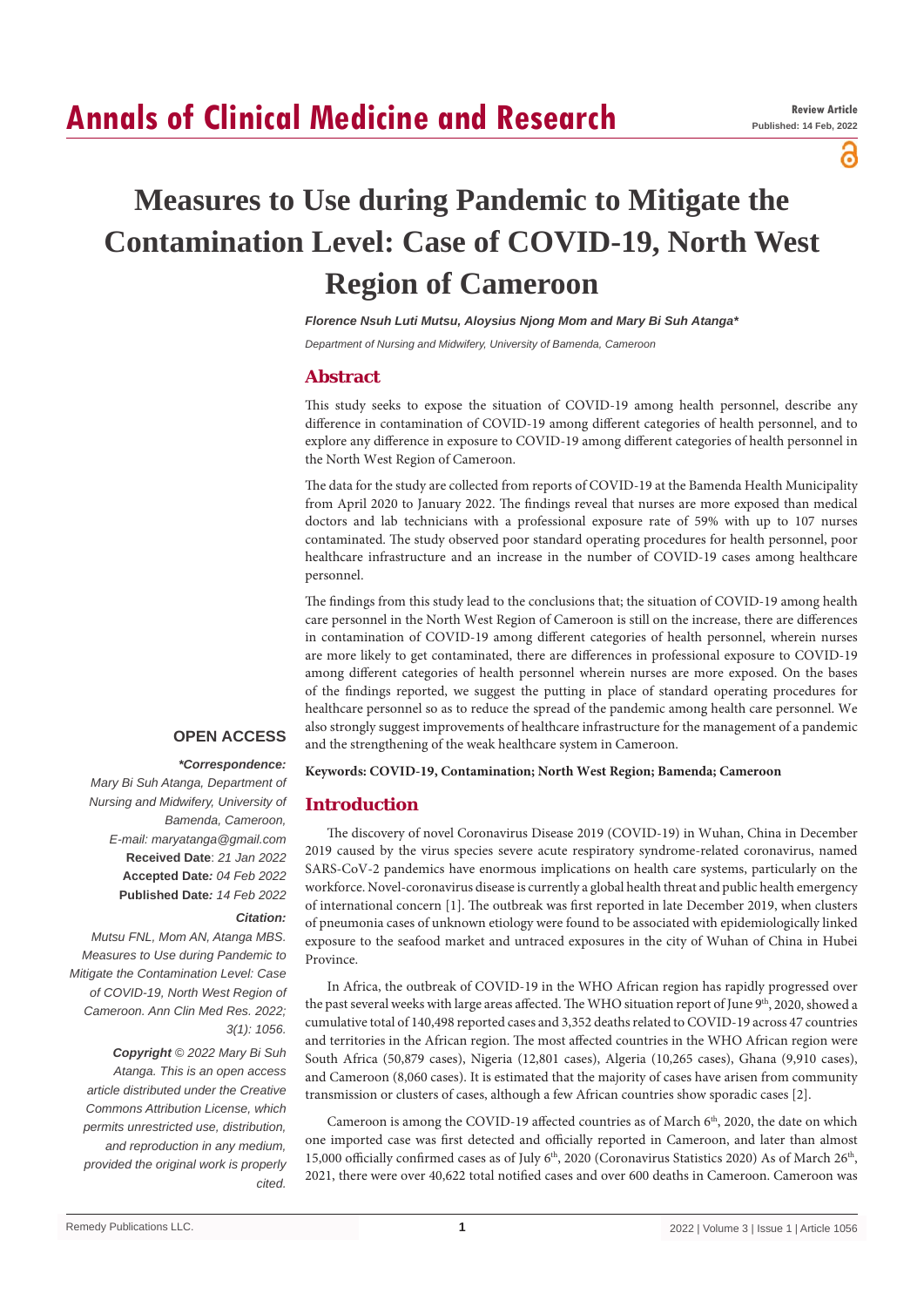# **Annals of Clinical Medicine and Research**

പ

# **Measures to Use during Pandemic to Mitigate the Contamination Level: Case of COVID-19, North West Region of Cameroon**

*Florence Nsuh Luti Mutsu, Aloysius Njong Mom and Mary Bi Suh Atanga\**

*Department of Nursing and Midwifery, University of Bamenda, Cameroon*

# **Abstract**

This study seeks to expose the situation of COVID-19 among health personnel, describe any difference in contamination of COVID-19 among different categories of health personnel, and to explore any difference in exposure to COVID-19 among different categories of health personnel in the North West Region of Cameroon.

The data for the study are collected from reports of COVID-19 at the Bamenda Health Municipality from April 2020 to January 2022. The findings reveal that nurses are more exposed than medical doctors and lab technicians with a professional exposure rate of 59% with up to 107 nurses contaminated. The study observed poor standard operating procedures for health personnel, poor healthcare infrastructure and an increase in the number of COVID-19 cases among healthcare personnel.

The findings from this study lead to the conclusions that; the situation of COVID-19 among health care personnel in the North West Region of Cameroon is still on the increase, there are differences in contamination of COVID-19 among different categories of health personnel, wherein nurses are more likely to get contaminated, there are differences in professional exposure to COVID-19 among different categories of health personnel wherein nurses are more exposed. On the bases of the findings reported, we suggest the putting in place of standard operating procedures for healthcare personnel so as to reduce the spread of the pandemic among health care personnel. We also strongly suggest improvements of healthcare infrastructure for the management of a pandemic and the strengthening of the weak healthcare system in Cameroon.

## **OPEN ACCESS**

#### *\*Correspondence:*

*Mary Bi Suh Atanga, Department of Nursing and Midwifery, University of Bamenda, Cameroon, E-mail: maryatanga@gmail.com* **Received Date**: *21 Jan 2022* **Accepted Date***: 04 Feb 2022* **Published Date***: 14 Feb 2022*

#### *Citation:*

*Mutsu FNL, Mom AN, Atanga MBS. Measures to Use during Pandemic to Mitigate the Contamination Level: Case of COVID-19, North West Region of Cameroon. Ann Clin Med Res. 2022; 3(1): 1056.*

*Copyright © 2022 Mary Bi Suh Atanga. This is an open access article distributed under the Creative Commons Attribution License, which permits unrestricted use, distribution, and reproduction in any medium, provided the original work is properly cited.*

**Keywords: COVID-19, Contamination; North West Region; Bamenda; Cameroon**

## **Introduction**

The discovery of novel Coronavirus Disease 2019 (COVID-19) in Wuhan, China in December 2019 caused by the virus species severe acute respiratory syndrome-related coronavirus, named SARS-CoV-2 pandemics have enormous implications on health care systems, particularly on the workforce. Novel-coronavirus disease is currently a global health threat and public health emergency of international concern [1]. The outbreak was first reported in late December 2019, when clusters of pneumonia cases of unknown etiology were found to be associated with epidemiologically linked exposure to the seafood market and untraced exposures in the city of Wuhan of China in Hubei Province.

In Africa, the outbreak of COVID-19 in the WHO African region has rapidly progressed over the past several weeks with large areas affected. The WHO situation report of June 9th, 2020, showed a cumulative total of 140,498 reported cases and 3,352 deaths related to COVID-19 across 47 countries and territories in the African region. The most affected countries in the WHO African region were South Africa (50,879 cases), Nigeria (12,801 cases), Algeria (10,265 cases), Ghana (9,910 cases), and Cameroon (8,060 cases). It is estimated that the majority of cases have arisen from community transmission or clusters of cases, although a few African countries show sporadic cases [2].

Cameroon is among the COVID-19 affected countries as of March 6<sup>th</sup>, 2020, the date on which one imported case was first detected and officially reported in Cameroon, and later than almost 15,000 officially confirmed cases as of July 6<sup>th</sup>, 2020 (Coronavirus Statistics 2020) As of March 26<sup>th</sup>, 2021, there were over 40,622 total notified cases and over 600 deaths in Cameroon. Cameroon was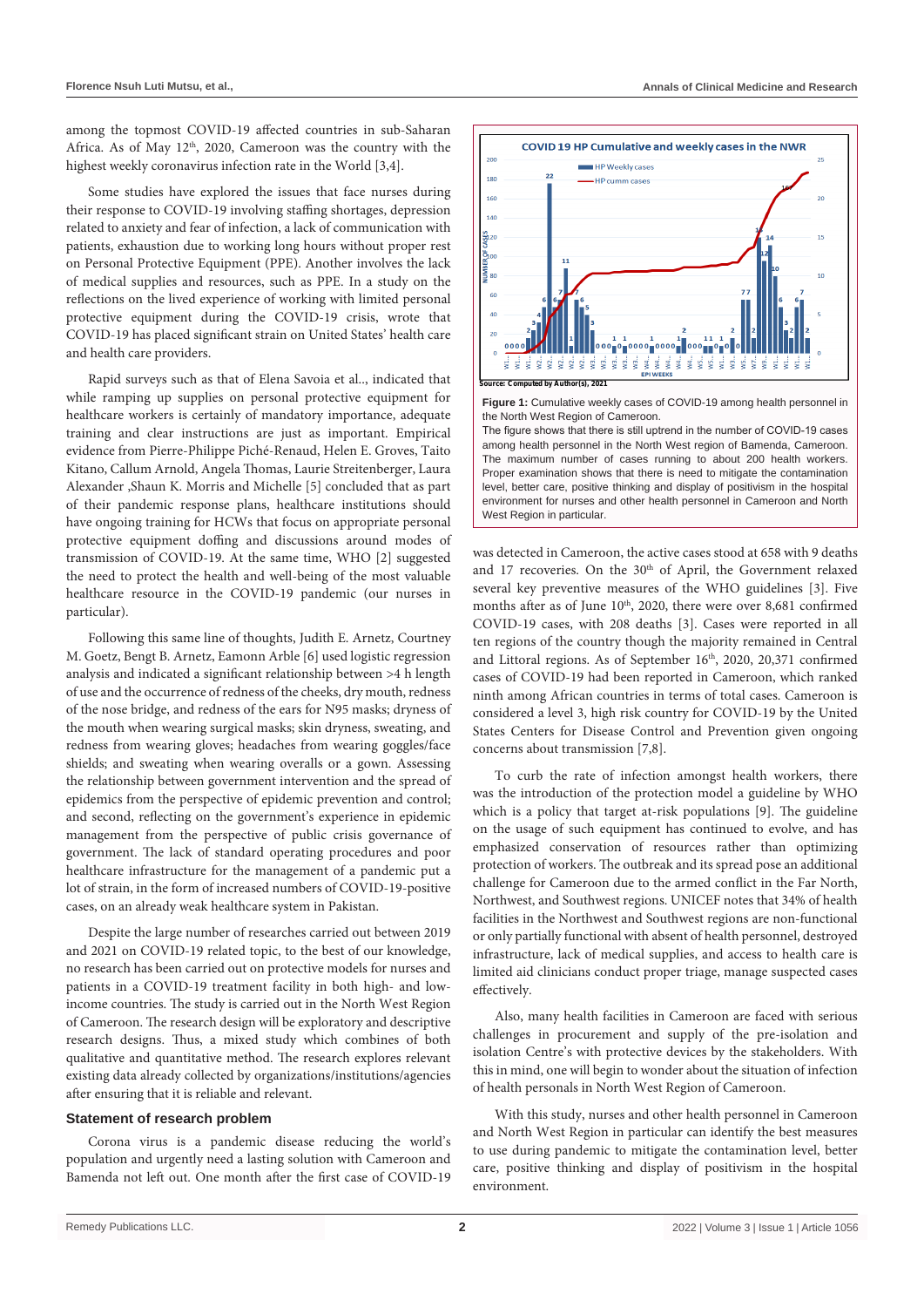among the topmost COVID-19 affected countries in sub-Saharan Africa. As of May  $12<sup>th</sup>$ , 2020, Cameroon was the country with the highest weekly coronavirus infection rate in the World [3,4].

Some studies have explored the issues that face nurses during their response to COVID-19 involving staffing shortages, depression related to anxiety and fear of infection, a lack of communication with patients, exhaustion due to working long hours without proper rest on Personal Protective Equipment (PPE). Another involves the lack of medical supplies and resources, such as PPE. In a study on the reflections on the lived experience of working with limited personal protective equipment during the COVID-19 crisis, wrote that COVID-19 has placed significant strain on United States' health care and health care providers.

Rapid surveys such as that of Elena Savoia et al.., indicated that while ramping up supplies on personal protective equipment for healthcare workers is certainly of mandatory importance, adequate training and clear instructions are just as important. Empirical evidence from Pierre-Philippe Piché-Renaud, Helen E. Groves, Taito Kitano, Callum Arnold, Angela Thomas, Laurie Streitenberger, Laura Alexander ,Shaun K. Morris and Michelle [5] concluded that as part of their pandemic response plans, healthcare institutions should have ongoing training for HCWs that focus on appropriate personal protective equipment doffing and discussions around modes of transmission of COVID-19. At the same time, WHO [2] suggested the need to protect the health and well-being of the most valuable healthcare resource in the COVID-19 pandemic (our nurses in particular).

Following this same line of thoughts, Judith E. Arnetz, Courtney M. Goetz, Bengt B. Arnetz, Eamonn Arble [6] used logistic regression analysis and indicated a significant relationship between >4 h length of use and the occurrence of redness of the cheeks, dry mouth, redness of the nose bridge, and redness of the ears for N95 masks; dryness of the mouth when wearing surgical masks; skin dryness, sweating, and redness from wearing gloves; headaches from wearing goggles/face shields; and sweating when wearing overalls or a gown. Assessing the relationship between government intervention and the spread of epidemics from the perspective of epidemic prevention and control; and second, reflecting on the government's experience in epidemic management from the perspective of public crisis governance of government. The lack of standard operating procedures and poor healthcare infrastructure for the management of a pandemic put a lot of strain, in the form of increased numbers of COVID-19-positive cases, on an already weak healthcare system in Pakistan.

Despite the large number of researches carried out between 2019 and 2021 on COVID-19 related topic, to the best of our knowledge, no research has been carried out on protective models for nurses and patients in a COVID-19 treatment facility in both high- and lowincome countries. The study is carried out in the North West Region of Cameroon. The research design will be exploratory and descriptive research designs. Thus, a mixed study which combines of both qualitative and quantitative method. The research explores relevant existing data already collected by organizations/institutions/agencies after ensuring that it is reliable and relevant.

#### **Statement of research problem**

Corona virus is a pandemic disease reducing the world's population and urgently need a lasting solution with Cameroon and Bamenda not left out. One month after the first case of COVID-19





**Figure 1:** Cumulative weekly cases of COVID-19 among health personnel in the North West Region of Cameroon.

The figure shows that there is still uptrend in the number of COVID-19 cases among health personnel in the North West region of Bamenda, Cameroon. The maximum number of cases running to about 200 health workers. Proper examination shows that there is need to mitigate the contamination level, better care, positive thinking and display of positivism in the hospital environment for nurses and other health personnel in Cameroon and North West Region in particular.

was detected in Cameroon, the active cases stood at 658 with 9 deaths and 17 recoveries. On the 30<sup>th</sup> of April, the Government relaxed several key preventive measures of the WHO guidelines [3]. Five months after as of June 10<sup>th</sup>, 2020, there were over 8,681 confirmed COVID-19 cases, with 208 deaths [3]. Cases were reported in all ten regions of the country though the majority remained in Central and Littoral regions. As of September 16<sup>th</sup>, 2020, 20,371 confirmed cases of COVID-19 had been reported in Cameroon, which ranked ninth among African countries in terms of total cases. Cameroon is considered a level 3, high risk country for COVID-19 by the United States Centers for Disease Control and Prevention given ongoing concerns about transmission [7,8].

To curb the rate of infection amongst health workers, there was the introduction of the protection model a guideline by WHO which is a policy that target at-risk populations [9]. The guideline on the usage of such equipment has continued to evolve, and has emphasized conservation of resources rather than optimizing protection of workers. The outbreak and its spread pose an additional challenge for Cameroon due to the armed conflict in the Far North, Northwest, and Southwest regions. UNICEF notes that 34% of health facilities in the Northwest and Southwest regions are non-functional or only partially functional with absent of health personnel, destroyed infrastructure, lack of medical supplies, and access to health care is limited aid clinicians conduct proper triage, manage suspected cases effectively.

Also, many health facilities in Cameroon are faced with serious challenges in procurement and supply of the pre-isolation and isolation Centre's with protective devices by the stakeholders. With this in mind, one will begin to wonder about the situation of infection of health personals in North West Region of Cameroon.

With this study, nurses and other health personnel in Cameroon and North West Region in particular can identify the best measures to use during pandemic to mitigate the contamination level, better care, positive thinking and display of positivism in the hospital environment.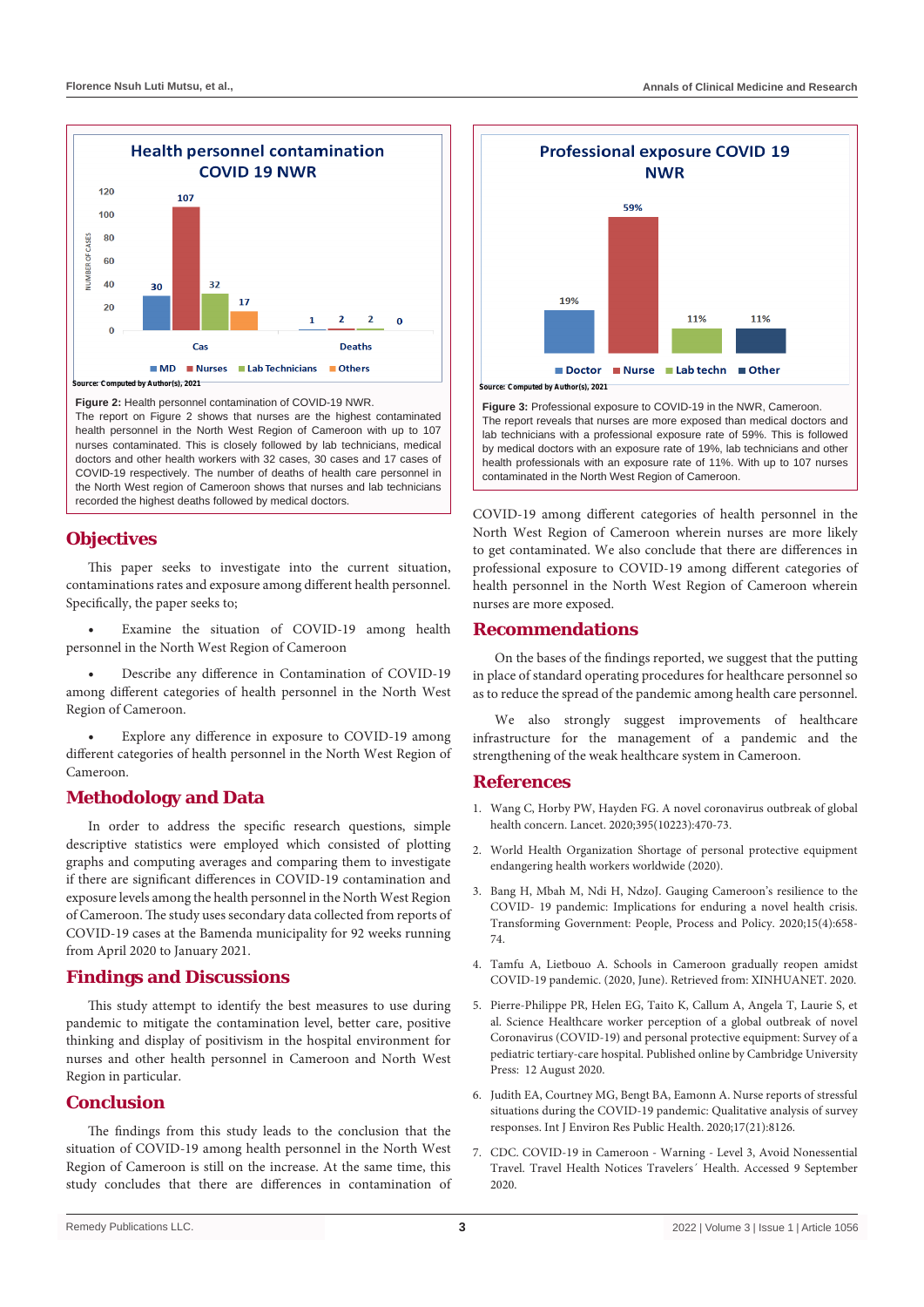

**Figure 2:** Health personnel contamination of COVID-19 NWR.

The report on Figure 2 shows that nurses are the highest contaminated health personnel in the North West Region of Cameroon with up to 107 nurses contaminated. This is closely followed by lab technicians, medical doctors and other health workers with 32 cases, 30 cases and 17 cases of COVID-19 respectively. The number of deaths of health care personnel in the North West region of Cameroon shows that nurses and lab technicians recorded the highest deaths followed by medical doctors.

## **Objectives**

This paper seeks to investigate into the current situation, contaminations rates and exposure among different health personnel. Specifically, the paper seeks to;

Examine the situation of COVID-19 among health personnel in the North West Region of Cameroon

Describe any difference in Contamination of COVID-19 among different categories of health personnel in the North West Region of Cameroon.

Explore any difference in exposure to COVID-19 among different categories of health personnel in the North West Region of Cameroon.

# **Methodology and Data**

In order to address the specific research questions, simple descriptive statistics were employed which consisted of plotting graphs and computing averages and comparing them to investigate if there are significant differences in COVID-19 contamination and exposure levels among the health personnel in the North West Region of Cameroon. The study uses secondary data collected from reports of COVID-19 cases at the Bamenda municipality for 92 weeks running from April 2020 to January 2021.

## **Findings and Discussions**

This study attempt to identify the best measures to use during pandemic to mitigate the contamination level, better care, positive thinking and display of positivism in the hospital environment for nurses and other health personnel in Cameroon and North West Region in particular.

## **Conclusion**

The findings from this study leads to the conclusion that the situation of COVID-19 among health personnel in the North West Region of Cameroon is still on the increase. At the same time, this study concludes that there are differences in contamination of



**Figure 3:** Professional exposure to COVID-19 in the NWR, Cameroon. The report reveals that nurses are more exposed than medical doctors and lab technicians with a professional exposure rate of 59%. This is followed by medical doctors with an exposure rate of 19%, lab technicians and other health professionals with an exposure rate of 11%. With up to 107 nurses contaminated in the North West Region of Cameroon.

COVID-19 among different categories of health personnel in the North West Region of Cameroon wherein nurses are more likely to get contaminated. We also conclude that there are differences in professional exposure to COVID-19 among different categories of health personnel in the North West Region of Cameroon wherein nurses are more exposed.

### **Recommendations**

On the bases of the findings reported, we suggest that the putting in place of standard operating procedures for healthcare personnel so as to reduce the spread of the pandemic among health care personnel.

We also strongly suggest improvements of healthcare infrastructure for the management of a pandemic and the strengthening of the weak healthcare system in Cameroon.

### **References**

- 1. [Wang C, Horby PW, Hayden FG. A novel coronavirus outbreak of global](https://pubmed.ncbi.nlm.nih.gov/31986257/)  [health concern. Lancet. 2020;395\(10223\):470-73.](https://pubmed.ncbi.nlm.nih.gov/31986257/)
- 2. World Health Organization Shortage of personal protective equipment endangering health workers worldwide (2020).
- 3. [Bang H, Mbah M, Ndi H, NdzoJ. Gauging Cameroon's resilience to the](https://staffprofiles.bournemouth.ac.uk/display/journal-article/335766)  [COVID- 19 pandemic: Implications for enduring a novel health crisis.](https://staffprofiles.bournemouth.ac.uk/display/journal-article/335766)  [Transforming Government: People, Process and Policy. 2020;15\(4\):658-](https://staffprofiles.bournemouth.ac.uk/display/journal-article/335766) [74.](https://staffprofiles.bournemouth.ac.uk/display/journal-article/335766)
- 4. [Tamfu A, Lietbouo A. Schools in Cameroon gradually reopen amidst](http://www.xinhuanet.com/english/2020-06/02/c_139105960.htm)  [COVID-19 pandemic. \(2020, June\). Retrieved from: XINHUANET. 2020.](http://www.xinhuanet.com/english/2020-06/02/c_139105960.htm)
- 5. Pierre-Philippe PR, Helen EG, Taito K, Callum A, Angela T, Laurie S, et al. Science Healthcare worker perception of a global outbreak of novel Coronavirus (COVID-19) and personal protective equipment: Survey of a pediatric tertiary-care hospital. Published online by Cambridge University Press: 12 August 2020.
- 6. [Judith EA, Courtney MG, Bengt BA, Eamonn A. Nurse reports of stressful](https://pubmed.ncbi.nlm.nih.gov/33153198/)  [situations during the COVID-19 pandemic: Qualitative analysis of survey](https://pubmed.ncbi.nlm.nih.gov/33153198/)  [responses. Int J Environ Res Public Health. 2020;17\(21\):8126.](https://pubmed.ncbi.nlm.nih.gov/33153198/)
- 7. CDC. COVID-19 in Cameroon Warning Level 3, Avoid Nonessential Travel. Travel Health Notices Travelers´ Health. Accessed 9 September 2020.